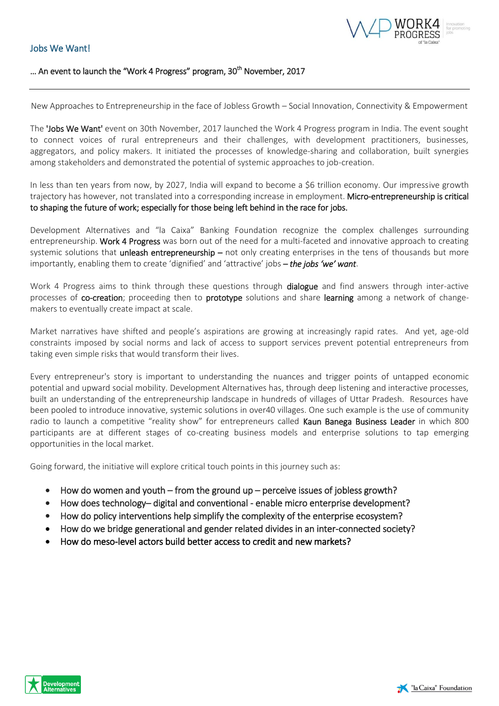## Jobs We Want!



## ... An event to launch the "Work 4 Progress" program, 30<sup>th</sup> November, 2017

New Approaches to Entrepreneurship in the face of Jobless Growth – Social Innovation, Connectivity & Empowerment

The 'Jobs We Want' event on 30th November, 2017 launched the Work 4 Progress program in India. The event sought to connect voices of rural entrepreneurs and their challenges, with development practitioners, businesses, aggregators, and policy makers. It initiated the processes of knowledge-sharing and collaboration, built synergies among stakeholders and demonstrated the potential of systemic approaches to job-creation.

In less than ten years from now, by 2027, India will expand to become a \$6 trillion economy. Our impressive growth trajectory has however, not translated into a corresponding increase in employment. Micro-entrepreneurship is critical to shaping the future of work; especially for those being left behind in the race for jobs.

Development Alternatives and "la Caixa" Banking Foundation recognize the complex challenges surrounding entrepreneurship. Work 4 Progress was born out of the need for a multi-faceted and innovative approach to creating systemic solutions that unleash entrepreneurship – not only creating enterprises in the tens of thousands but more importantly, enabling them to create 'dignified' and 'attractive' jobs – *the jobs 'we' want*.

Work 4 Progress aims to think through these questions through dialogue and find answers through inter-active processes of co-creation; proceeding then to prototype solutions and share learning among a network of changemakers to eventually create impact at scale.

Market narratives have shifted and people's aspirations are growing at increasingly rapid rates. And yet, age-old constraints imposed by social norms and lack of access to support services prevent potential entrepreneurs from taking even simple risks that would transform their lives.

Every entrepreneur's story is important to understanding the nuances and trigger points of untapped economic potential and upward social mobility. Development Alternatives has, through deep listening and interactive processes, built an understanding of the entrepreneurship landscape in hundreds of villages of Uttar Pradesh. Resources have been pooled to introduce innovative, systemic solutions in over40 villages. One such example is the use of community radio to launch a competitive "reality show" for entrepreneurs called Kaun Banega Business Leader in which 800 participants are at different stages of co-creating business models and enterprise solutions to tap emerging opportunities in the local market.

Going forward, the initiative will explore critical touch points in this journey such as:

- $\bullet$  How do women and youth from the ground up perceive issues of jobless growth?
- How does technology– digital and conventional enable micro enterprise development?
- How do policy interventions help simplify the complexity of the enterprise ecosystem?
- How do we bridge generational and gender related divides in an inter-connected society?
- How do meso-level actors build better access to credit and new markets?

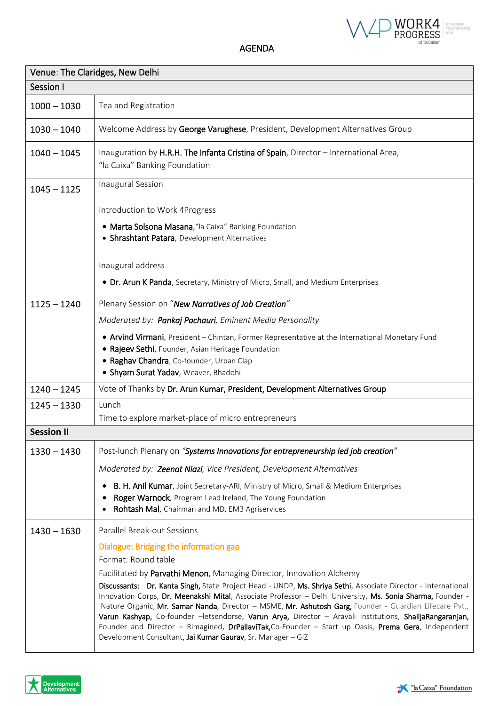

AGENDA

| Venue: The Claridges, New Delhi |                                                                                                                                                                                                                                                                                                                                                                                                                                                                                                                                                                                                                                                                                                  |  |
|---------------------------------|--------------------------------------------------------------------------------------------------------------------------------------------------------------------------------------------------------------------------------------------------------------------------------------------------------------------------------------------------------------------------------------------------------------------------------------------------------------------------------------------------------------------------------------------------------------------------------------------------------------------------------------------------------------------------------------------------|--|
| Session I                       |                                                                                                                                                                                                                                                                                                                                                                                                                                                                                                                                                                                                                                                                                                  |  |
| $1000 - 1030$                   | Tea and Registration                                                                                                                                                                                                                                                                                                                                                                                                                                                                                                                                                                                                                                                                             |  |
| $1030 - 1040$                   | Welcome Address by George Varughese, President, Development Alternatives Group                                                                                                                                                                                                                                                                                                                                                                                                                                                                                                                                                                                                                   |  |
| $1040 - 1045$                   | Inauguration by H.R.H. The Infanta Cristina of Spain, Director - International Area,<br>"la Caixa" Banking Foundation                                                                                                                                                                                                                                                                                                                                                                                                                                                                                                                                                                            |  |
| $1045 - 1125$                   | Inaugural Session                                                                                                                                                                                                                                                                                                                                                                                                                                                                                                                                                                                                                                                                                |  |
|                                 | Introduction to Work 4Progress                                                                                                                                                                                                                                                                                                                                                                                                                                                                                                                                                                                                                                                                   |  |
|                                 | · Marta Solsona Masana, "la Caixa" Banking Foundation<br>• Shrashtant Patara, Development Alternatives                                                                                                                                                                                                                                                                                                                                                                                                                                                                                                                                                                                           |  |
|                                 | Inaugural address                                                                                                                                                                                                                                                                                                                                                                                                                                                                                                                                                                                                                                                                                |  |
|                                 | • Dr. Arun K Panda, Secretary, Ministry of Micro, Small, and Medium Enterprises                                                                                                                                                                                                                                                                                                                                                                                                                                                                                                                                                                                                                  |  |
| $1125 - 1240$                   | Plenary Session on "New Narratives of Job Creation"                                                                                                                                                                                                                                                                                                                                                                                                                                                                                                                                                                                                                                              |  |
|                                 | Moderated by: Pankaj Pachauri, Eminent Media Personality                                                                                                                                                                                                                                                                                                                                                                                                                                                                                                                                                                                                                                         |  |
|                                 | . Arvind Virmani, President - Chintan, Former Representative at the International Monetary Fund<br>• Rajeev Sethi, Founder, Asian Heritage Foundation<br>· Raghav Chandra, Co-founder, Urban Clap<br>· Shyam Surat Yadav, Weaver, Bhadohi                                                                                                                                                                                                                                                                                                                                                                                                                                                        |  |
| $1240 - 1245$                   | Vote of Thanks by Dr. Arun Kumar, President, Development Alternatives Group                                                                                                                                                                                                                                                                                                                                                                                                                                                                                                                                                                                                                      |  |
| $1245 - 1330$                   | Lunch                                                                                                                                                                                                                                                                                                                                                                                                                                                                                                                                                                                                                                                                                            |  |
|                                 | Time to explore market-place of micro entrepreneurs                                                                                                                                                                                                                                                                                                                                                                                                                                                                                                                                                                                                                                              |  |
| <b>Session II</b>               |                                                                                                                                                                                                                                                                                                                                                                                                                                                                                                                                                                                                                                                                                                  |  |
| $1330 - 1430$                   | Post-lunch Plenary on "Systems Innovations for entrepreneurship led job creation"                                                                                                                                                                                                                                                                                                                                                                                                                                                                                                                                                                                                                |  |
|                                 | Moderated by: Zeenat Niazi, Vice President, Development Alternatives                                                                                                                                                                                                                                                                                                                                                                                                                                                                                                                                                                                                                             |  |
|                                 | <b>B. H. Anil Kumar</b> , Joint Secretary-ARI, Ministry of Micro, Small & Medium Enterprises<br>Roger Warnock, Program Lead Ireland, The Young Foundation<br>٠<br>Rohtash Mal, Chairman and MD, EM3 Agriservices                                                                                                                                                                                                                                                                                                                                                                                                                                                                                 |  |
| $1430 - 1630$                   | Parallel Break-out Sessions                                                                                                                                                                                                                                                                                                                                                                                                                                                                                                                                                                                                                                                                      |  |
|                                 | Dialogue: Bridging the information gap                                                                                                                                                                                                                                                                                                                                                                                                                                                                                                                                                                                                                                                           |  |
|                                 | Format: Round table                                                                                                                                                                                                                                                                                                                                                                                                                                                                                                                                                                                                                                                                              |  |
|                                 | Facilitated by Parvathi Menon, Managing Director, Innovation Alchemy<br>Discussants: Dr. Kanta Singh, State Project Head - UNDP, Ms. Shriya Sethi, Associate Director - International<br>Innovation Corps, Dr. Meenakshi Mital, Associate Professor - Delhi University, Ms. Sonia Sharma, Founder -<br>Nature Organic, Mr. Samar Nanda, Director - MSME, Mr. Ashutosh Garg, Founder - Guardian Lifecare Pvt.,<br>Varun Kashyap, Co-founder -letsendorse, Varun Arya, Director - Aravali Institutions, ShailjaRangaranjan,<br>Founder and Director - Rimagined, DrPallaviTak, Co-Founder - Start up Oasis, Prema Gera, Independent<br>Development Consultant, Jai Kumar Gaurav, Sr. Manager - GIZ |  |